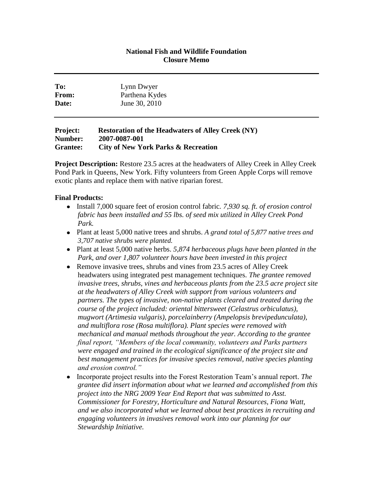## **National Fish and Wildlife Foundation Closure Memo**

| To:   | Lynn Dwyer     |  |
|-------|----------------|--|
| From: | Parthena Kydes |  |
| Date: | June 30, 2010  |  |
|       |                |  |

## **Project: Restoration of the Headwaters of Alley Creek (NY) Number: 2007-0087-001 Grantee: City of New York Parks & Recreation**

**Project Description:** Restore 23.5 acres at the headwaters of Alley Creek in Alley Creek Pond Park in Queens, New York. Fifty volunteers from Green Apple Corps will remove exotic plants and replace them with native riparian forest.

## **Final Products:**

- Install 7,000 square feet of erosion control fabric. 7,930 sq. ft. of erosion control *fabric has been installed and 55 lbs. of seed mix utilized in Alley Creek Pond Park.*
- Plant at least 5,000 native trees and shrubs. *A grand total of 5,877 native trees and 3,707 native shrubs were planted.*
- Plant at least 5,000 native herbs. *5,874 herbaceous plugs have been planted in the Park, and over 1,807 volunteer hours have been invested in this project*
- Remove invasive trees, shrubs and vines from 23.5 acres of Alley Creek headwaters using integrated pest management techniques. *The grantee removed invasive trees, shrubs, vines and herbaceous plants from the 23.5 acre project site at the headwaters of Alley Creek with support from various volunteers and partners. The types of invasive, non-native plants cleared and treated during the course of the project included: oriental bittersweet (Celastrus orbiculatus), mugwort (Artimesia vulgaris), porcelainberry (Ampelopsis brevipedunculata), and multiflora rose (Rosa multiflora). Plant species were removed with mechanical and manual methods throughout the year. According to the grantee final report, "Members of the local community, volunteers and Parks partners were engaged and trained in the ecological significance of the project site and best management practices for invasive species removal, native species planting and erosion control."*
- $\bullet$ Incorporate project results into the Forest Restoration Team's annual report. *The grantee did insert information about what we learned and accomplished from this project into the NRG 2009 Year End Report that was submitted to Asst. Commissioner for Forestry, Horticulture and Natural Resources, Fiona Watt, and we also incorporated what we learned about best practices in recruiting and engaging volunteers in invasives removal work into our planning for our Stewardship Initiative.*